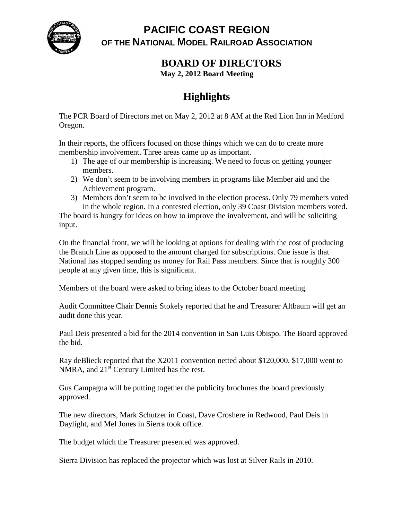

**PACIFIC COAST REGION OF THE NATIONAL MODEL RAILROAD ASSOCIATION**

**BOARD OF DIRECTORS**

**May 2, 2012 Board Meeting**

## **Highlights**

The PCR Board of Directors met on May 2, 2012 at 8 AM at the Red Lion Inn in Medford Oregon.

In their reports, the officers focused on those things which we can do to create more membership involvement. Three areas came up as important.

- 1) The age of our membership is increasing. We need to focus on getting younger members.
- 2) We don't seem to be involving members in programs like Member aid and the Achievement program.
- 3) Members don't seem to be involved in the election process. Only 79 members voted in the whole region. In a contested election, only 39 Coast Division members voted.

The board is hungry for ideas on how to improve the involvement, and will be soliciting input.

On the financial front, we will be looking at options for dealing with the cost of producing the Branch Line as opposed to the amount charged for subscriptions. One issue is that National has stopped sending us money for Rail Pass members. Since that is roughly 300 people at any given time, this is significant.

Members of the board were asked to bring ideas to the October board meeting.

Audit Committee Chair Dennis Stokely reported that he and Treasurer Altbaum will get an audit done this year.

Paul Deis presented a bid for the 2014 convention in San Luis Obispo. The Board approved the bid.

Ray deBlieck reported that the X2011 convention netted about \$120,000. \$17,000 went to NMRA, and  $21<sup>st</sup>$  Century Limited has the rest.

Gus Campagna will be putting together the publicity brochures the board previously approved.

The new directors, Mark Schutzer in Coast, Dave Croshere in Redwood, Paul Deis in Daylight, and Mel Jones in Sierra took office.

The budget which the Treasurer presented was approved.

Sierra Division has replaced the projector which was lost at Silver Rails in 2010.